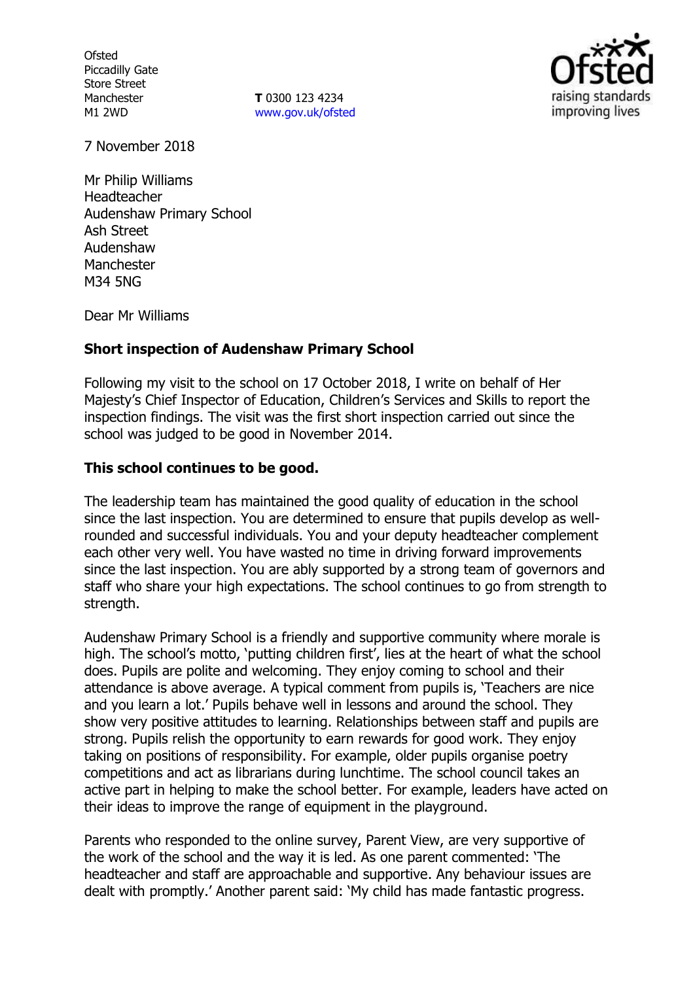**Ofsted** Piccadilly Gate Store Street Manchester M1 2WD

**T** 0300 123 4234 www.gov.uk/ofsted



7 November 2018

Mr Philip Williams Headteacher Audenshaw Primary School Ash Street Audenshaw Manchester M34 5NG

Dear Mr Williams

## **Short inspection of Audenshaw Primary School**

Following my visit to the school on 17 October 2018, I write on behalf of Her Majesty's Chief Inspector of Education, Children's Services and Skills to report the inspection findings. The visit was the first short inspection carried out since the school was judged to be good in November 2014.

### **This school continues to be good.**

The leadership team has maintained the good quality of education in the school since the last inspection. You are determined to ensure that pupils develop as wellrounded and successful individuals. You and your deputy headteacher complement each other very well. You have wasted no time in driving forward improvements since the last inspection. You are ably supported by a strong team of governors and staff who share your high expectations. The school continues to go from strength to strength.

Audenshaw Primary School is a friendly and supportive community where morale is high. The school's motto, 'putting children first', lies at the heart of what the school does. Pupils are polite and welcoming. They enjoy coming to school and their attendance is above average. A typical comment from pupils is, 'Teachers are nice and you learn a lot.' Pupils behave well in lessons and around the school. They show very positive attitudes to learning. Relationships between staff and pupils are strong. Pupils relish the opportunity to earn rewards for good work. They enjoy taking on positions of responsibility. For example, older pupils organise poetry competitions and act as librarians during lunchtime. The school council takes an active part in helping to make the school better. For example, leaders have acted on their ideas to improve the range of equipment in the playground.

Parents who responded to the online survey, Parent View, are very supportive of the work of the school and the way it is led. As one parent commented: 'The headteacher and staff are approachable and supportive. Any behaviour issues are dealt with promptly.' Another parent said: 'My child has made fantastic progress.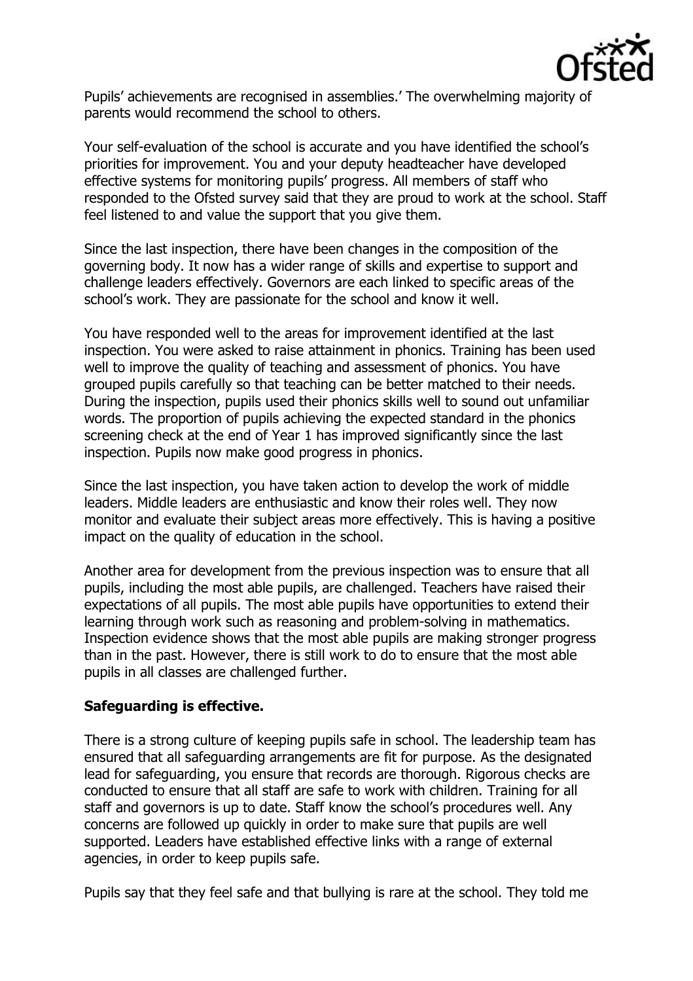

Pupils' achievements are recognised in assemblies.' The overwhelming majority of parents would recommend the school to others.

Your self-evaluation of the school is accurate and you have identified the school's priorities for improvement. You and your deputy headteacher have developed effective systems for monitoring pupils' progress. All members of staff who responded to the Ofsted survey said that they are proud to work at the school. Staff feel listened to and value the support that you give them.

Since the last inspection, there have been changes in the composition of the governing body. It now has a wider range of skills and expertise to support and challenge leaders effectively. Governors are each linked to specific areas of the school's work. They are passionate for the school and know it well.

You have responded well to the areas for improvement identified at the last inspection. You were asked to raise attainment in phonics. Training has been used well to improve the quality of teaching and assessment of phonics. You have grouped pupils carefully so that teaching can be better matched to their needs. During the inspection, pupils used their phonics skills well to sound out unfamiliar words. The proportion of pupils achieving the expected standard in the phonics screening check at the end of Year 1 has improved significantly since the last inspection. Pupils now make good progress in phonics.

Since the last inspection, you have taken action to develop the work of middle leaders. Middle leaders are enthusiastic and know their roles well. They now monitor and evaluate their subject areas more effectively. This is having a positive impact on the quality of education in the school.

Another area for development from the previous inspection was to ensure that all pupils, including the most able pupils, are challenged. Teachers have raised their expectations of all pupils. The most able pupils have opportunities to extend their learning through work such as reasoning and problem-solving in mathematics. Inspection evidence shows that the most able pupils are making stronger progress than in the past. However, there is still work to do to ensure that the most able pupils in all classes are challenged further.

## **Safeguarding is effective.**

There is a strong culture of keeping pupils safe in school. The leadership team has ensured that all safeguarding arrangements are fit for purpose. As the designated lead for safeguarding, you ensure that records are thorough. Rigorous checks are conducted to ensure that all staff are safe to work with children. Training for all staff and governors is up to date. Staff know the school's procedures well. Any concerns are followed up quickly in order to make sure that pupils are well supported. Leaders have established effective links with a range of external agencies, in order to keep pupils safe.

Pupils say that they feel safe and that bullying is rare at the school. They told me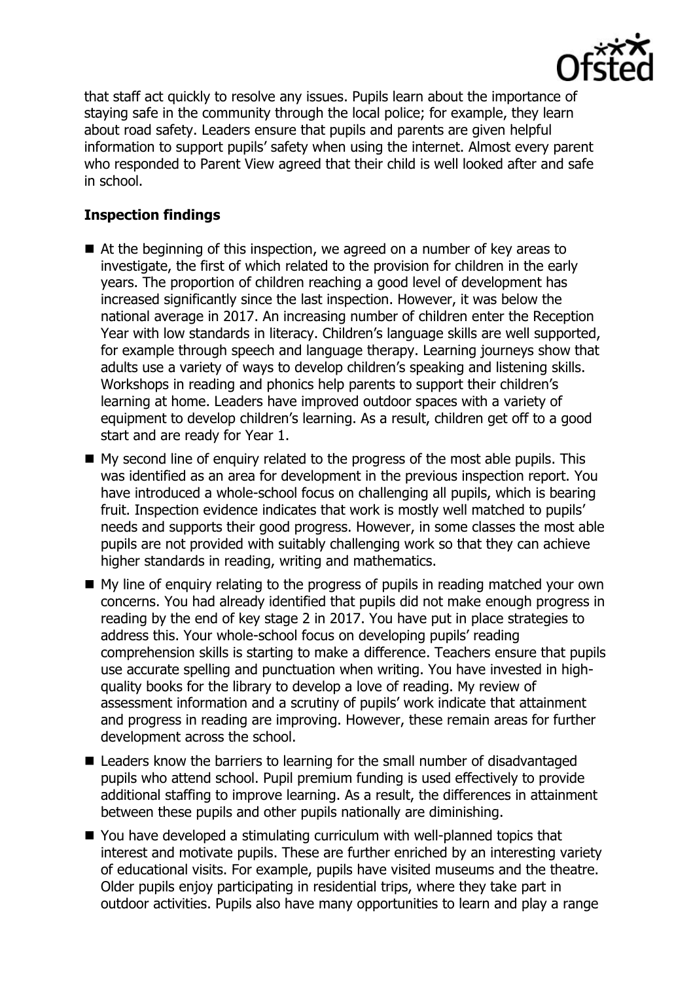

that staff act quickly to resolve any issues. Pupils learn about the importance of staying safe in the community through the local police; for example, they learn about road safety. Leaders ensure that pupils and parents are given helpful information to support pupils' safety when using the internet. Almost every parent who responded to Parent View agreed that their child is well looked after and safe in school.

# **Inspection findings**

- At the beginning of this inspection, we agreed on a number of key areas to investigate, the first of which related to the provision for children in the early years. The proportion of children reaching a good level of development has increased significantly since the last inspection. However, it was below the national average in 2017. An increasing number of children enter the Reception Year with low standards in literacy. Children's language skills are well supported, for example through speech and language therapy. Learning journeys show that adults use a variety of ways to develop children's speaking and listening skills. Workshops in reading and phonics help parents to support their children's learning at home. Leaders have improved outdoor spaces with a variety of equipment to develop children's learning. As a result, children get off to a good start and are ready for Year 1.
- My second line of enquiry related to the progress of the most able pupils. This was identified as an area for development in the previous inspection report. You have introduced a whole-school focus on challenging all pupils, which is bearing fruit. Inspection evidence indicates that work is mostly well matched to pupils' needs and supports their good progress. However, in some classes the most able pupils are not provided with suitably challenging work so that they can achieve higher standards in reading, writing and mathematics.
- My line of enquiry relating to the progress of pupils in reading matched your own concerns. You had already identified that pupils did not make enough progress in reading by the end of key stage 2 in 2017. You have put in place strategies to address this. Your whole-school focus on developing pupils' reading comprehension skills is starting to make a difference. Teachers ensure that pupils use accurate spelling and punctuation when writing. You have invested in highquality books for the library to develop a love of reading. My review of assessment information and a scrutiny of pupils' work indicate that attainment and progress in reading are improving. However, these remain areas for further development across the school.
- Leaders know the barriers to learning for the small number of disadvantaged pupils who attend school. Pupil premium funding is used effectively to provide additional staffing to improve learning. As a result, the differences in attainment between these pupils and other pupils nationally are diminishing.
- You have developed a stimulating curriculum with well-planned topics that interest and motivate pupils. These are further enriched by an interesting variety of educational visits. For example, pupils have visited museums and the theatre. Older pupils enjoy participating in residential trips, where they take part in outdoor activities. Pupils also have many opportunities to learn and play a range